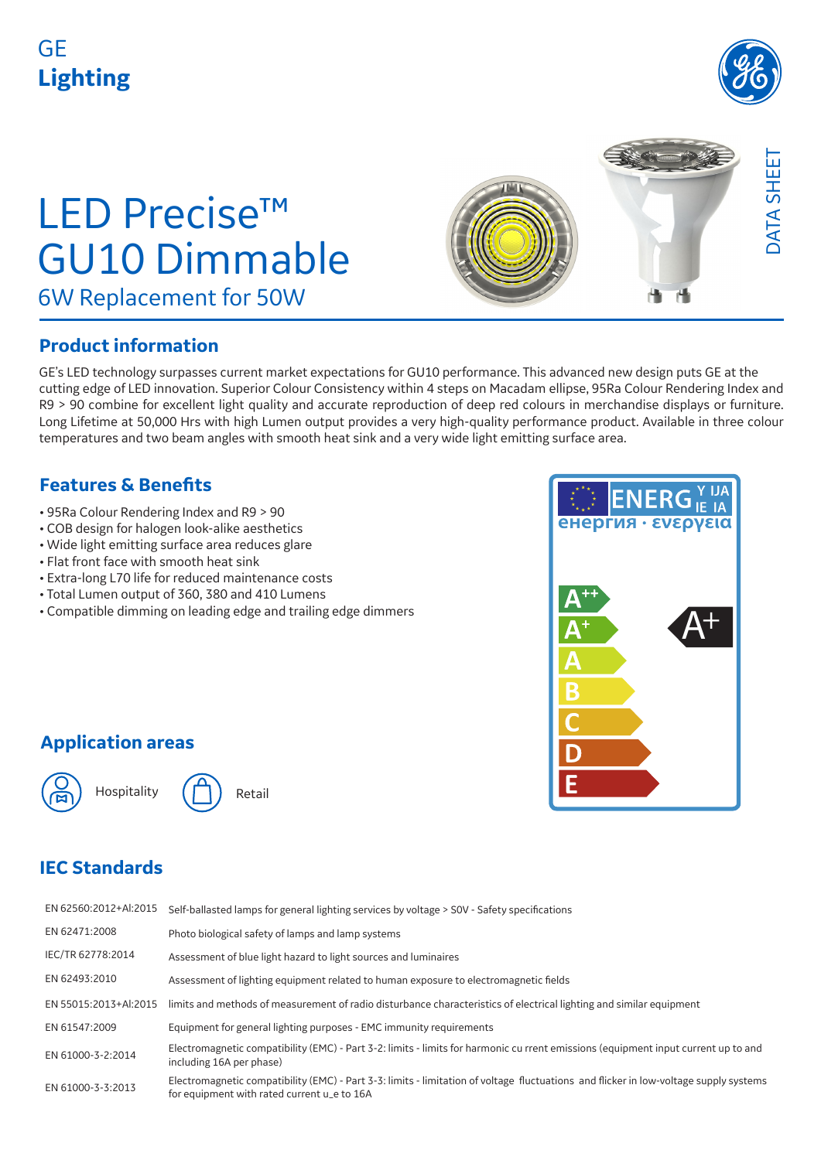## GE **Lighting**



# LED Precise™ GU10 Dimmable 6W Replacement for 50W



#### **Product information**

GE's LED technology surpasses current market expectations for GU10 performance. This advanced new design puts GE at the cutting edge of LED innovation. Superior Colour Consistency within 4 steps on Macadam ellipse, 95Ra Colour Rendering Index and R9 > 90 combine for excellent light quality and accurate reproduction of deep red colours in merchandise displays or furniture. Long Lifetime at 50,000 Hrs with high Lumen output provides a very high-quality performance product. Available in three colour temperatures and two beam angles with smooth heat sink and a very wide light emitting surface area.

#### **Features & Benefits**

- 95Ra Colour Rendering Index and R9 > 90
- COB design for halogen look-alike aesthetics
- Wide light emitting surface area reduces glare
- Flat front face with smooth heat sink
- Extra-long L70 life for reduced maintenance costs
- Total Lumen output of 360, 380 and 410 Lumens
- Compatible dimming on leading edge and trailing edge dimmers



#### **Application areas**





#### **IEC Standards**

| EN 62560:2012+Al:2015 | Self-ballasted lamps for general lighting services by voltage > SOV - Safety specifications                                                                                          |
|-----------------------|--------------------------------------------------------------------------------------------------------------------------------------------------------------------------------------|
| EN 62471:2008         | Photo biological safety of lamps and lamp systems                                                                                                                                    |
| IEC/TR 62778:2014     | Assessment of blue light hazard to light sources and luminaires                                                                                                                      |
| EN 62493:2010         | Assessment of lighting equipment related to human exposure to electromagnetic fields                                                                                                 |
| EN 55015:2013+Al:2015 | limits and methods of measurement of radio disturbance characteristics of electrical lighting and similar equipment                                                                  |
| EN 61547:2009         | Equipment for general lighting purposes - EMC immunity requirements                                                                                                                  |
| EN 61000-3-2:2014     | Electromagnetic compatibility (EMC) - Part 3-2: limits - limits for harmonic cu rrent emissions (equipment input current up to and<br>including 16A per phase)                       |
| EN 61000-3-3:2013     | Electromagnetic compatibility (EMC) - Part 3-3: limits - limitation of voltage fluctuations and flicker in low-voltage supply systems<br>for equipment with rated current u_e to 16A |
|                       |                                                                                                                                                                                      |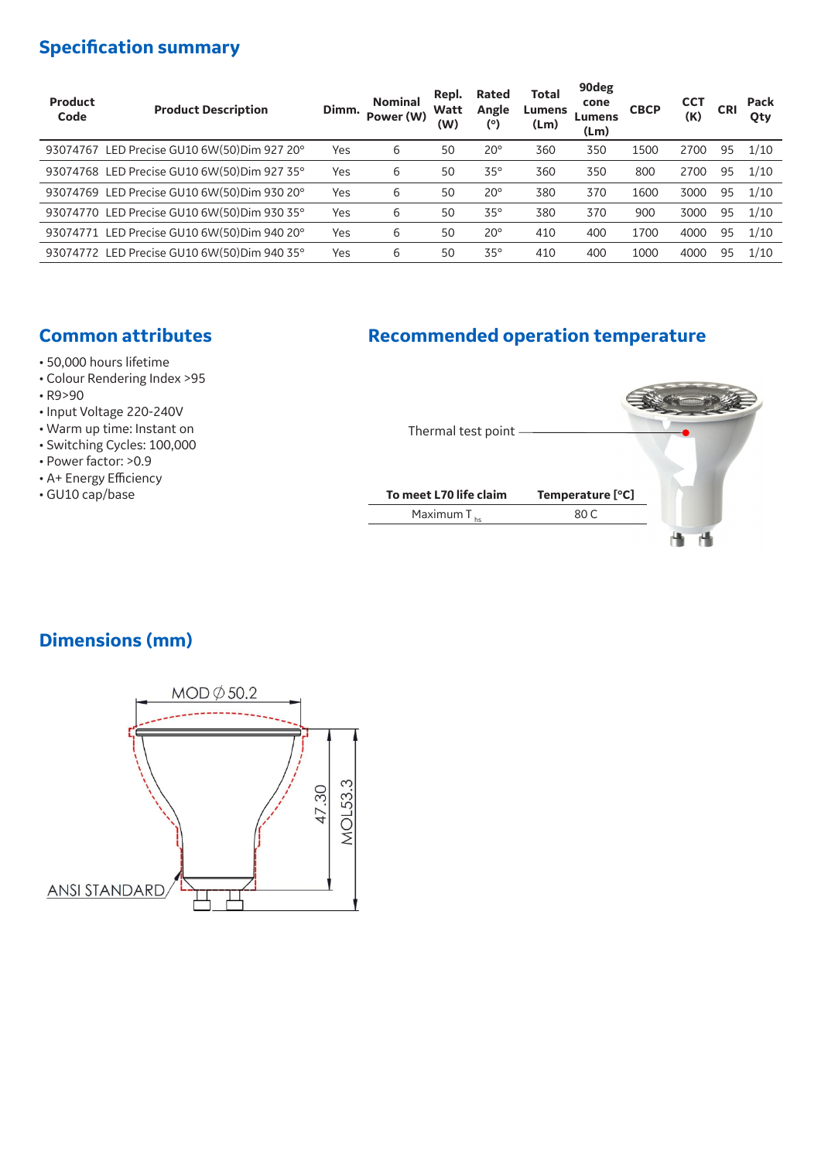### **Specification summary**

| Product<br>Code | <b>Product Description</b>                  | Dimm. | <b>Nominal</b><br>Power (W) | Repl.<br>Watt<br>(W) | Rated<br>Angle<br>(°) | <b>Total</b><br>Lumens<br>(Lm) | 90deg<br>cone<br>Lumens<br>(Lm) | <b>CBCP</b> | <b>CCT</b><br>(K) | <b>CRI</b> | Pack<br>Qty |
|-----------------|---------------------------------------------|-------|-----------------------------|----------------------|-----------------------|--------------------------------|---------------------------------|-------------|-------------------|------------|-------------|
|                 | 93074767 LED Precise GU10 6W(50)Dim 927 20° | Yes   | 6                           | 50                   | $20^{\circ}$          | 360                            | 350                             | 1500        | 2700              | 95         | 1/10        |
|                 | 93074768 LED Precise GU10 6W(50)Dim 927 35° | Yes   | 6                           | 50                   | $35^{\circ}$          | 360                            | 350                             | 800         | 2700              | 95         | 1/10        |
|                 | 93074769 LED Precise GU10 6W(50)Dim 930 20° | Yes   | 6                           | 50                   | $20^{\circ}$          | 380                            | 370                             | 1600        | 3000              | 95         | 1/10        |
|                 | 93074770 LED Precise GU10 6W(50)Dim 930 35° | Yes   | 6                           | 50                   | $35^\circ$            | 380                            | 370                             | 900         | 3000              | 95         | 1/10        |
|                 | 93074771 LED Precise GU10 6W(50)Dim 940 20° | Yes   | 6                           | 50                   | $20^{\circ}$          | 410                            | 400                             | 1700        | 4000              | 95         | 1/10        |
|                 | 93074772 LED Precise GU10 6W(50)Dim 940 35° | Yes   | 6                           | 50                   | $35^\circ$            | 410                            | 400                             | 1000        | 4000              | 95         | 1/10        |

### **Common attributes Recommended operation temperature**

- 50,000 hours lifetime
- Colour Rendering Index >95
- R9>90
- Input Voltage 220-240V
- Warm up time: Instant on
- Switching Cycles: 100,000
- Power factor: >0.9
- A+ Energy Efficiency<br>• GU10 cap/base
- 



#### **Dimensions (mm)**